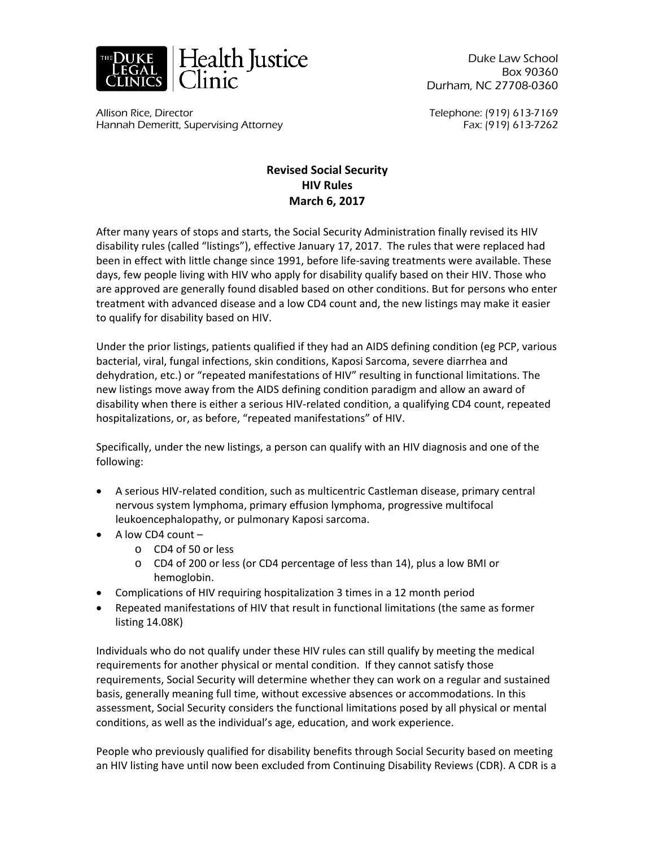

Duke Law School Box 90360 Durham, NC 27708-0360

Allison Rice, Director **Telephone: (919) 613-7169** Hannah Demeritt, Supervising Attorney Fax: (919) 613-7262

# **Revised Social Security HIV Rules March 6, 2017**

After many years of stops and starts, the Social Security Administration finally revised its HIV disability rules (called "listings"), effective January 17, 2017. The rules that were replaced had been in effect with little change since 1991, before life-saving treatments were available. These days, few people living with HIV who apply for disability qualify based on their HIV. Those who are approved are generally found disabled based on other conditions. But for persons who enter treatment with advanced disease and a low CD4 count and, the new listings may make it easier to qualify for disability based on HIV.

Under the prior listings, patients qualified if they had an AIDS defining condition (eg PCP, various bacterial, viral, fungal infections, skin conditions, Kaposi Sarcoma, severe diarrhea and dehydration, etc.) or "repeated manifestations of HIV" resulting in functional limitations. The new listings move away from the AIDS defining condition paradigm and allow an award of disability when there is either a serious HIV-related condition, a qualifying CD4 count, repeated hospitalizations, or, as before, "repeated manifestations" of HIV.

Specifically, under the new listings, a person can qualify with an HIV diagnosis and one of the following:

- A serious HIV-related condition, such as multicentric Castleman disease, primary central nervous system lymphoma, primary effusion lymphoma, progressive multifocal leukoencephalopathy, or pulmonary Kaposi sarcoma.
- A low CD4 count
	- o CD4 of 50 or less
	- o CD4 of 200 or less (or CD4 percentage of less than 14), plus a low BMI or hemoglobin.
- Complications of HIV requiring hospitalization 3 times in a 12 month period
- Repeated manifestations of HIV that result in functional limitations (the same as former listing 14.08K)

Individuals who do not qualify under these HIV rules can still qualify by meeting the medical requirements for another physical or mental condition. If they cannot satisfy those requirements, Social Security will determine whether they can work on a regular and sustained basis, generally meaning full time, without excessive absences or accommodations. In this assessment, Social Security considers the functional limitations posed by all physical or mental conditions, as well as the individual's age, education, and work experience.

People who previously qualified for disability benefits through Social Security based on meeting an HIV listing have until now been excluded from Continuing Disability Reviews (CDR). A CDR is a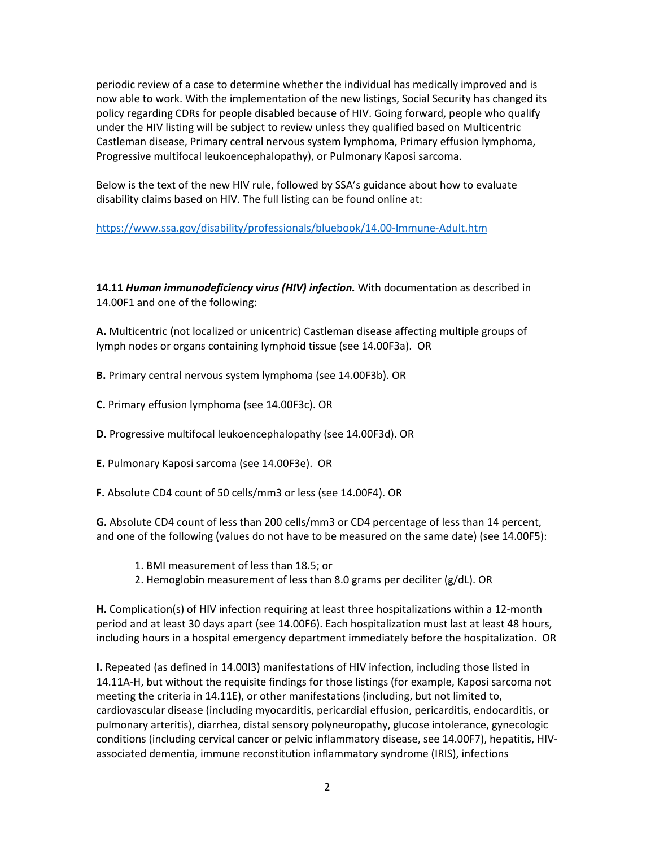periodic review of a case to determine whether the individual has medically improved and is now able to work. With the implementation of the new listings, Social Security has changed its policy regarding CDRs for people disabled because of HIV. Going forward, people who qualify under the HIV listing will be subject to review unless they qualified based on Multicentric Castleman disease, Primary central nervous system lymphoma, Primary effusion lymphoma, Progressive multifocal leukoencephalopathy), or Pulmonary Kaposi sarcoma.

Below is the text of the new HIV rule, followed by SSA's guidance about how to evaluate disability claims based on HIV. The full listing can be found online at:

# <https://www.ssa.gov/disability/professionals/bluebook/14.00-Immune-Adult.htm>

**14.11** *Human immunodeficiency virus (HIV) infection.* With documentation as described in 14.00F1 and one of the following:

**A.** Multicentric (not localized or unicentric) Castleman disease affecting multiple groups of lymph nodes or organs containing lymphoid tissue (see 14.00F3a). OR

**B.** Primary central nervous system lymphoma (see 14.00F3b). OR

**C.** Primary effusion lymphoma (see 14.00F3c). OR

**D.** Progressive multifocal leukoencephalopathy (see 14.00F3d). OR

**E.** Pulmonary Kaposi sarcoma (see 14.00F3e). OR

**F.** Absolute CD4 count of 50 cells/mm3 or less (see 14.00F4). OR

**G.** Absolute CD4 count of less than 200 cells/mm3 or CD4 percentage of less than 14 percent, and one of the following (values do not have to be measured on the same date) (see 14.00F5):

- 1. BMI measurement of less than 18.5; or
- 2. Hemoglobin measurement of less than 8.0 grams per deciliter (g/dL). OR

**H.** Complication(s) of HIV infection requiring at least three hospitalizations within a 12-month period and at least 30 days apart (see 14.00F6). Each hospitalization must last at least 48 hours, including hours in a hospital emergency department immediately before the hospitalization. OR

**I.** Repeated (as defined in 14.00I3) manifestations of HIV infection, including those listed in 14.11A-H, but without the requisite findings for those listings (for example, Kaposi sarcoma not meeting the criteria in 14.11E), or other manifestations (including, but not limited to, cardiovascular disease (including myocarditis, pericardial effusion, pericarditis, endocarditis, or pulmonary arteritis), diarrhea, distal sensory polyneuropathy, glucose intolerance, gynecologic conditions (including cervical cancer or pelvic inflammatory disease, see 14.00F7), hepatitis, HIVassociated dementia, immune reconstitution inflammatory syndrome (IRIS), infections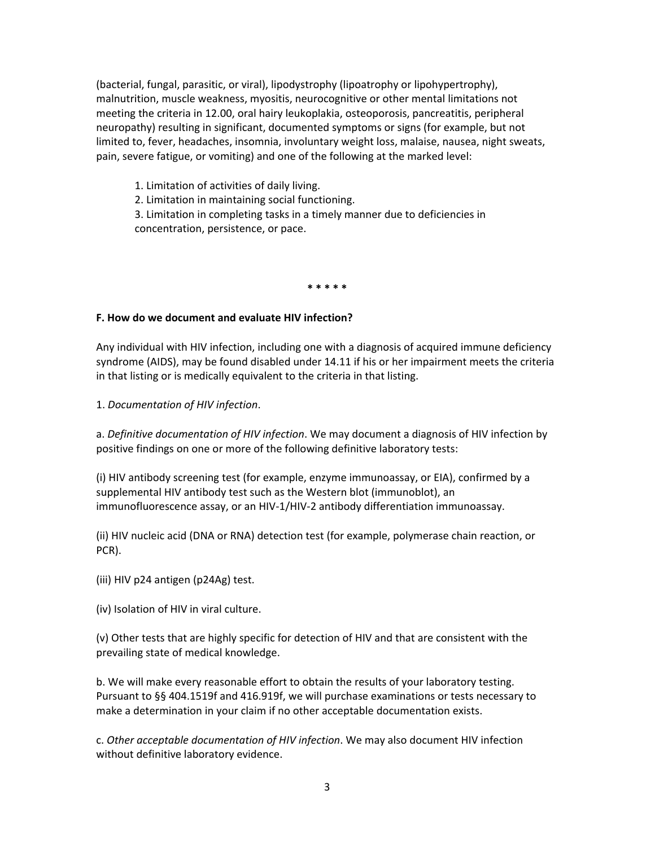(bacterial, fungal, parasitic, or viral), lipodystrophy (lipoatrophy or lipohypertrophy), malnutrition, muscle weakness, myositis, neurocognitive or other mental limitations not meeting the criteria in 12.00, oral hairy leukoplakia, osteoporosis, pancreatitis, peripheral neuropathy) resulting in significant, documented symptoms or signs (for example, but not limited to, fever, headaches, insomnia, involuntary weight loss, malaise, nausea, night sweats, pain, severe fatigue, or vomiting) and one of the following at the marked level:

- 1. Limitation of activities of daily living.
- 2. Limitation in maintaining social functioning.

3. Limitation in completing tasks in a timely manner due to deficiencies in concentration, persistence, or pace.

**\* \* \* \* \***

## **F. How do we document and evaluate HIV infection?**

Any individual with HIV infection, including one with a diagnosis of acquired immune deficiency syndrome (AIDS), may be found disabled under 14.11 if his or her impairment meets the criteria in that listing or is medically equivalent to the criteria in that listing.

1. *Documentation of HIV infection*.

a. *Definitive documentation of HIV infection*. We may document a diagnosis of HIV infection by positive findings on one or more of the following definitive laboratory tests:

(i) HIV antibody screening test (for example, enzyme immunoassay, or EIA), confirmed by a supplemental HIV antibody test such as the Western blot (immunoblot), an immunofluorescence assay, or an HIV-1/HIV-2 antibody differentiation immunoassay.

(ii) HIV nucleic acid (DNA or RNA) detection test (for example, polymerase chain reaction, or PCR).

(iii) HIV p24 antigen (p24Ag) test.

(iv) Isolation of HIV in viral culture.

(v) Other tests that are highly specific for detection of HIV and that are consistent with the prevailing state of medical knowledge.

b. We will make every reasonable effort to obtain the results of your laboratory testing. Pursuant to §§ 404.1519f and 416.919f, we will purchase examinations or tests necessary to make a determination in your claim if no other acceptable documentation exists.

c. *Other acceptable documentation of HIV infection*. We may also document HIV infection without definitive laboratory evidence.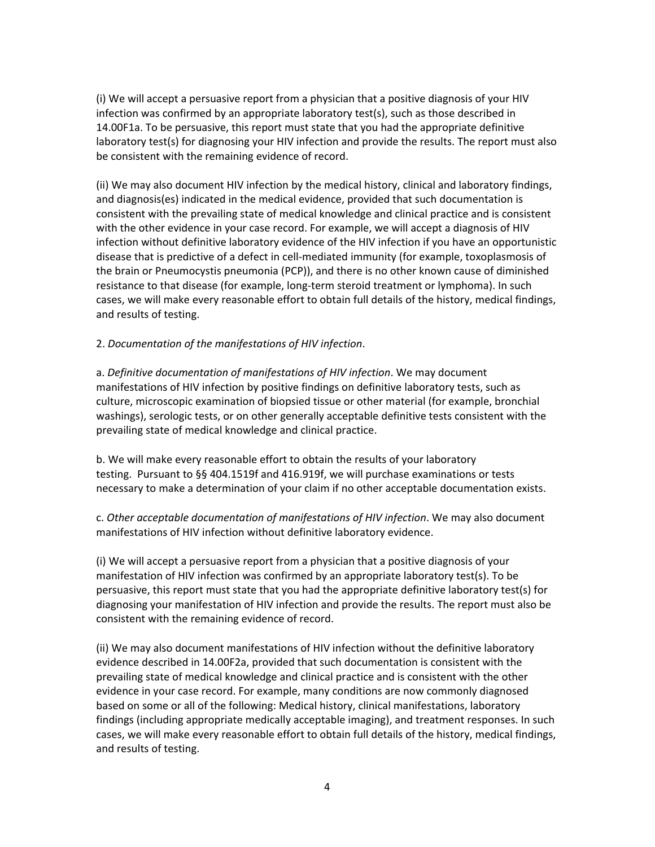(i) We will accept a persuasive report from a physician that a positive diagnosis of your HIV infection was confirmed by an appropriate laboratory test(s), such as those described in 14.00F1a. To be persuasive, this report must state that you had the appropriate definitive laboratory test(s) for diagnosing your HIV infection and provide the results. The report must also be consistent with the remaining evidence of record.

(ii) We may also document HIV infection by the medical history, clinical and laboratory findings, and diagnosis(es) indicated in the medical evidence, provided that such documentation is consistent with the prevailing state of medical knowledge and clinical practice and is consistent with the other evidence in your case record. For example, we will accept a diagnosis of HIV infection without definitive laboratory evidence of the HIV infection if you have an opportunistic disease that is predictive of a defect in cell-mediated immunity (for example, toxoplasmosis of the brain or Pneumocystis pneumonia (PCP)), and there is no other known cause of diminished resistance to that disease (for example, long-term steroid treatment or lymphoma). In such cases, we will make every reasonable effort to obtain full details of the history, medical findings, and results of testing.

## 2. *Documentation of the manifestations of HIV infection*.

a. *Definitive documentation of manifestations of HIV infection*. We may document manifestations of HIV infection by positive findings on definitive laboratory tests, such as culture, microscopic examination of biopsied tissue or other material (for example, bronchial washings), serologic tests, or on other generally acceptable definitive tests consistent with the prevailing state of medical knowledge and clinical practice.

b. We will make every reasonable effort to obtain the results of your laboratory testing. Pursuant to §§ 404.1519f and 416.919f, we will purchase examinations or tests necessary to make a determination of your claim if no other acceptable documentation exists.

c. *Other acceptable documentation of manifestations of HIV infection*. We may also document manifestations of HIV infection without definitive laboratory evidence.

(i) We will accept a persuasive report from a physician that a positive diagnosis of your manifestation of HIV infection was confirmed by an appropriate laboratory test(s). To be persuasive, this report must state that you had the appropriate definitive laboratory test(s) for diagnosing your manifestation of HIV infection and provide the results. The report must also be consistent with the remaining evidence of record.

(ii) We may also document manifestations of HIV infection without the definitive laboratory evidence described in 14.00F2a, provided that such documentation is consistent with the prevailing state of medical knowledge and clinical practice and is consistent with the other evidence in your case record. For example, many conditions are now commonly diagnosed based on some or all of the following: Medical history, clinical manifestations, laboratory findings (including appropriate medically acceptable imaging), and treatment responses. In such cases, we will make every reasonable effort to obtain full details of the history, medical findings, and results of testing.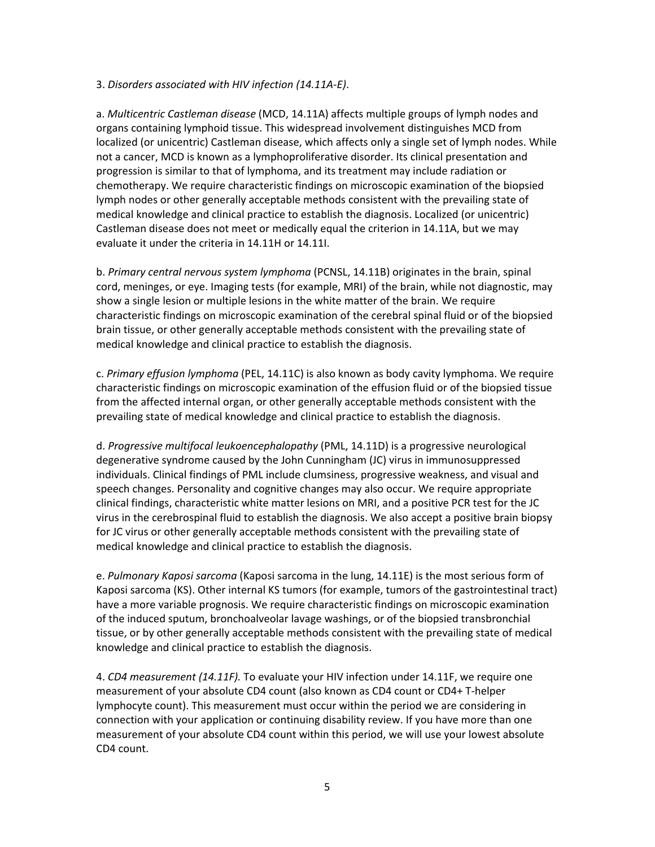#### 3. *Disorders associated with HIV infection (14.11A-E)*.

a. *Multicentric Castleman disease* (MCD, 14.11A) affects multiple groups of lymph nodes and organs containing lymphoid tissue. This widespread involvement distinguishes MCD from localized (or unicentric) Castleman disease, which affects only a single set of lymph nodes. While not a cancer, MCD is known as a lymphoproliferative disorder. Its clinical presentation and progression is similar to that of lymphoma, and its treatment may include radiation or chemotherapy. We require characteristic findings on microscopic examination of the biopsied lymph nodes or other generally acceptable methods consistent with the prevailing state of medical knowledge and clinical practice to establish the diagnosis. Localized (or unicentric) Castleman disease does not meet or medically equal the criterion in 14.11A, but we may evaluate it under the criteria in 14.11H or 14.11I.

b. *Primary central nervous system lymphoma* (PCNSL, 14.11B) originates in the brain, spinal cord, meninges, or eye. Imaging tests (for example, MRI) of the brain, while not diagnostic, may show a single lesion or multiple lesions in the white matter of the brain. We require characteristic findings on microscopic examination of the cerebral spinal fluid or of the biopsied brain tissue, or other generally acceptable methods consistent with the prevailing state of medical knowledge and clinical practice to establish the diagnosis.

c. *Primary effusion lymphoma* (PEL, 14.11C) is also known as body cavity lymphoma. We require characteristic findings on microscopic examination of the effusion fluid or of the biopsied tissue from the affected internal organ, or other generally acceptable methods consistent with the prevailing state of medical knowledge and clinical practice to establish the diagnosis.

d. *Progressive multifocal leukoencephalopathy* (PML, 14.11D) is a progressive neurological degenerative syndrome caused by the John Cunningham (JC) virus in immunosuppressed individuals. Clinical findings of PML include clumsiness, progressive weakness, and visual and speech changes. Personality and cognitive changes may also occur. We require appropriate clinical findings, characteristic white matter lesions on MRI, and a positive PCR test for the JC virus in the cerebrospinal fluid to establish the diagnosis. We also accept a positive brain biopsy for JC virus or other generally acceptable methods consistent with the prevailing state of medical knowledge and clinical practice to establish the diagnosis.

e. *Pulmonary Kaposi sarcoma* (Kaposi sarcoma in the lung, 14.11E) is the most serious form of Kaposi sarcoma (KS). Other internal KS tumors (for example, tumors of the gastrointestinal tract) have a more variable prognosis. We require characteristic findings on microscopic examination of the induced sputum, bronchoalveolar lavage washings, or of the biopsied transbronchial tissue, or by other generally acceptable methods consistent with the prevailing state of medical knowledge and clinical practice to establish the diagnosis.

4. *CD4 measurement (14.11F).* To evaluate your HIV infection under 14.11F, we require one measurement of your absolute CD4 count (also known as CD4 count or CD4+ T-helper lymphocyte count). This measurement must occur within the period we are considering in connection with your application or continuing disability review. If you have more than one measurement of your absolute CD4 count within this period, we will use your lowest absolute CD4 count.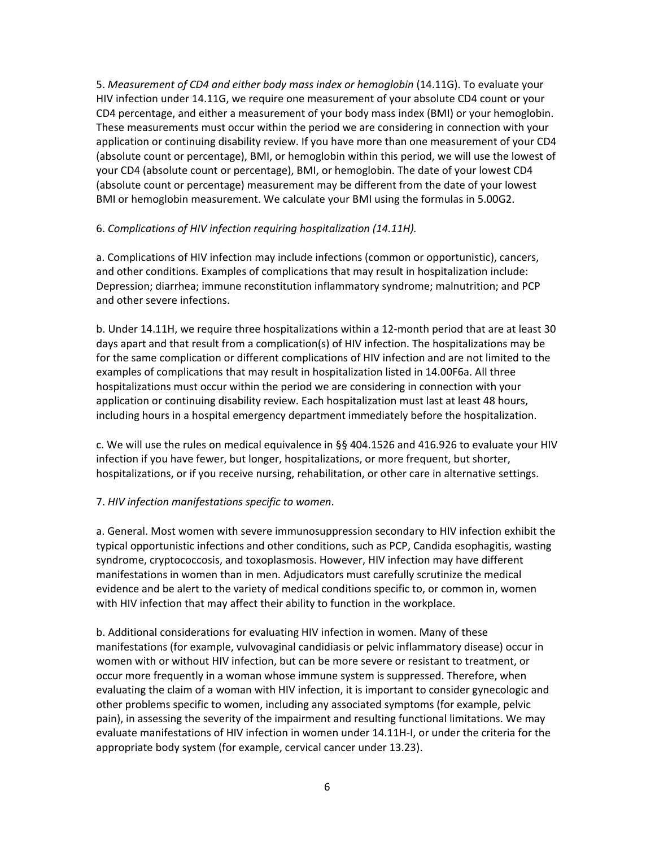5. *Measurement of CD4 and either body mass index or hemoglobin* (14.11G). To evaluate your HIV infection under 14.11G, we require one measurement of your absolute CD4 count or your CD4 percentage, and either a measurement of your body mass index (BMI) or your hemoglobin. These measurements must occur within the period we are considering in connection with your application or continuing disability review. If you have more than one measurement of your CD4 (absolute count or percentage), BMI, or hemoglobin within this period, we will use the lowest of your CD4 (absolute count or percentage), BMI, or hemoglobin. The date of your lowest CD4 (absolute count or percentage) measurement may be different from the date of your lowest BMI or hemoglobin measurement. We calculate your BMI using the formulas in 5.00G2.

## 6. *Complications of HIV infection requiring hospitalization (14.11H).*

a. Complications of HIV infection may include infections (common or opportunistic), cancers, and other conditions. Examples of complications that may result in hospitalization include: Depression; diarrhea; immune reconstitution inflammatory syndrome; malnutrition; and PCP and other severe infections.

b. Under 14.11H, we require three hospitalizations within a 12-month period that are at least 30 days apart and that result from a complication(s) of HIV infection. The hospitalizations may be for the same complication or different complications of HIV infection and are not limited to the examples of complications that may result in hospitalization listed in 14.00F6a. All three hospitalizations must occur within the period we are considering in connection with your application or continuing disability review. Each hospitalization must last at least 48 hours, including hours in a hospital emergency department immediately before the hospitalization.

c. We will use the rules on medical equivalence in §§ 404.1526 and 416.926 to evaluate your HIV infection if you have fewer, but longer, hospitalizations, or more frequent, but shorter, hospitalizations, or if you receive nursing, rehabilitation, or other care in alternative settings.

## 7. *HIV infection manifestations specific to women*.

a. General. Most women with severe immunosuppression secondary to HIV infection exhibit the typical opportunistic infections and other conditions, such as PCP, Candida esophagitis, wasting syndrome, cryptococcosis, and toxoplasmosis. However, HIV infection may have different manifestations in women than in men. Adjudicators must carefully scrutinize the medical evidence and be alert to the variety of medical conditions specific to, or common in, women with HIV infection that may affect their ability to function in the workplace.

b. Additional considerations for evaluating HIV infection in women. Many of these manifestations (for example, vulvovaginal candidiasis or pelvic inflammatory disease) occur in women with or without HIV infection, but can be more severe or resistant to treatment, or occur more frequently in a woman whose immune system is suppressed. Therefore, when evaluating the claim of a woman with HIV infection, it is important to consider gynecologic and other problems specific to women, including any associated symptoms (for example, pelvic pain), in assessing the severity of the impairment and resulting functional limitations. We may evaluate manifestations of HIV infection in women under 14.11H-I, or under the criteria for the appropriate body system (for example, cervical cancer under 13.23).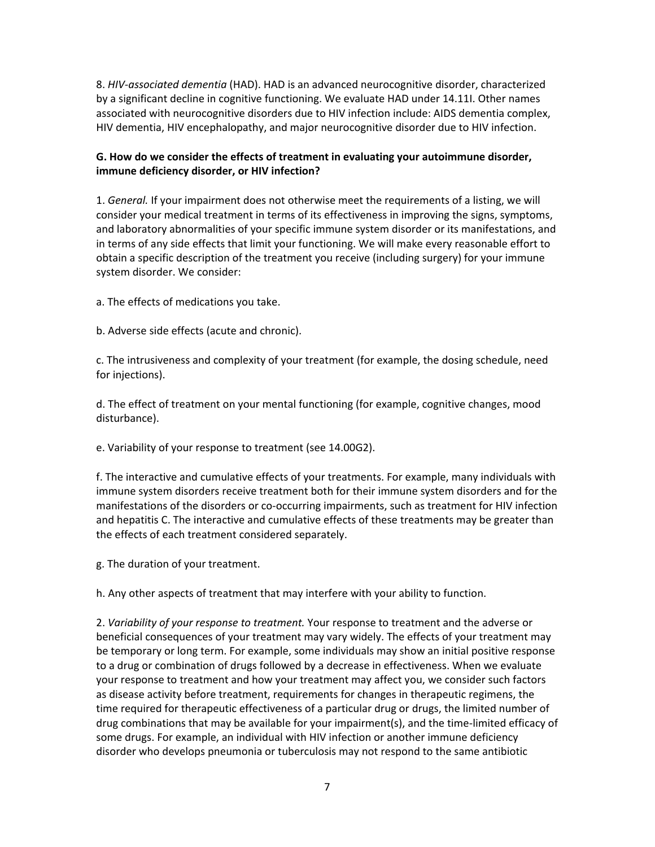8. *HIV-associated dementia* (HAD). HAD is an advanced neurocognitive disorder, characterized by a significant decline in cognitive functioning. We evaluate HAD under 14.11I. Other names associated with neurocognitive disorders due to HIV infection include: AIDS dementia complex, HIV dementia, HIV encephalopathy, and major neurocognitive disorder due to HIV infection.

## **G. How do we consider the effects of treatment in evaluating your autoimmune disorder, immune deficiency disorder, or HIV infection?**

1. *General.* If your impairment does not otherwise meet the requirements of a listing, we will consider your medical treatment in terms of its effectiveness in improving the signs, symptoms, and laboratory abnormalities of your specific immune system disorder or its manifestations, and in terms of any side effects that limit your functioning. We will make every reasonable effort to obtain a specific description of the treatment you receive (including surgery) for your immune system disorder. We consider:

a. The effects of medications you take.

b. Adverse side effects (acute and chronic).

c. The intrusiveness and complexity of your treatment (for example, the dosing schedule, need for injections).

d. The effect of treatment on your mental functioning (for example, cognitive changes, mood disturbance).

e. Variability of your response to treatment (see 14.00G2).

f. The interactive and cumulative effects of your treatments. For example, many individuals with immune system disorders receive treatment both for their immune system disorders and for the manifestations of the disorders or co-occurring impairments, such as treatment for HIV infection and hepatitis C. The interactive and cumulative effects of these treatments may be greater than the effects of each treatment considered separately.

g. The duration of your treatment.

h. Any other aspects of treatment that may interfere with your ability to function.

2. *Variability of your response to treatment.* Your response to treatment and the adverse or beneficial consequences of your treatment may vary widely. The effects of your treatment may be temporary or long term. For example, some individuals may show an initial positive response to a drug or combination of drugs followed by a decrease in effectiveness. When we evaluate your response to treatment and how your treatment may affect you, we consider such factors as disease activity before treatment, requirements for changes in therapeutic regimens, the time required for therapeutic effectiveness of a particular drug or drugs, the limited number of drug combinations that may be available for your impairment(s), and the time-limited efficacy of some drugs. For example, an individual with HIV infection or another immune deficiency disorder who develops pneumonia or tuberculosis may not respond to the same antibiotic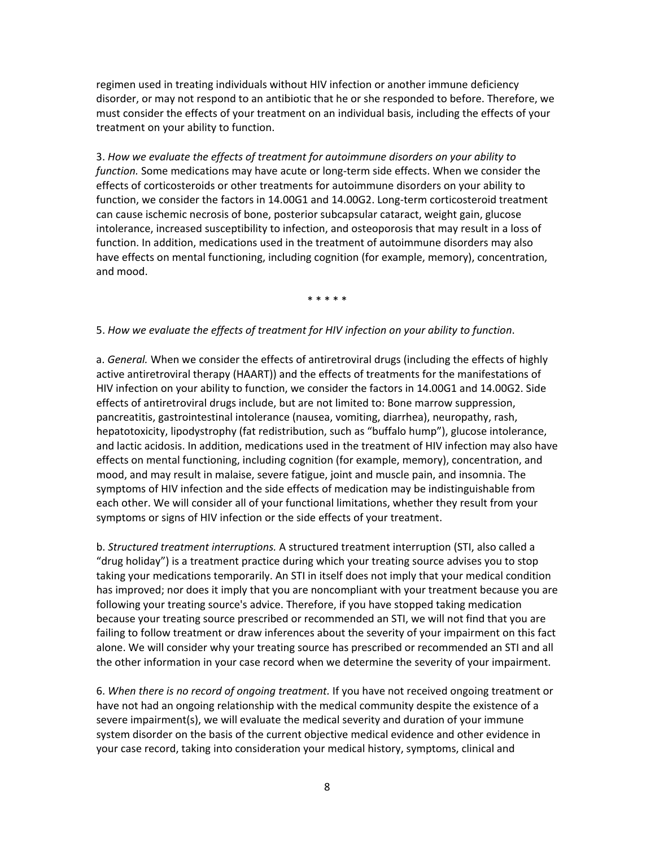regimen used in treating individuals without HIV infection or another immune deficiency disorder, or may not respond to an antibiotic that he or she responded to before. Therefore, we must consider the effects of your treatment on an individual basis, including the effects of your treatment on your ability to function.

3. *How we evaluate the effects of treatment for autoimmune disorders on your ability to function.* Some medications may have acute or long-term side effects. When we consider the effects of corticosteroids or other treatments for autoimmune disorders on your ability to function, we consider the factors in 14.00G1 and 14.00G2. Long-term corticosteroid treatment can cause ischemic necrosis of bone, posterior subcapsular cataract, weight gain, glucose intolerance, increased susceptibility to infection, and osteoporosis that may result in a loss of function. In addition, medications used in the treatment of autoimmune disorders may also have effects on mental functioning, including cognition (for example, memory), concentration, and mood.

\* \* \* \* \*

#### 5. *How we evaluate the effects of treatment for HIV infection on your ability to function*.

a. *General.* When we consider the effects of antiretroviral drugs (including the effects of highly active antiretroviral therapy (HAART)) and the effects of treatments for the manifestations of HIV infection on your ability to function, we consider the factors in 14.00G1 and 14.00G2. Side effects of antiretroviral drugs include, but are not limited to: Bone marrow suppression, pancreatitis, gastrointestinal intolerance (nausea, vomiting, diarrhea), neuropathy, rash, hepatotoxicity, lipodystrophy (fat redistribution, such as "buffalo hump"), glucose intolerance, and lactic acidosis. In addition, medications used in the treatment of HIV infection may also have effects on mental functioning, including cognition (for example, memory), concentration, and mood, and may result in malaise, severe fatigue, joint and muscle pain, and insomnia. The symptoms of HIV infection and the side effects of medication may be indistinguishable from each other. We will consider all of your functional limitations, whether they result from your symptoms or signs of HIV infection or the side effects of your treatment.

b. *Structured treatment interruptions.* A structured treatment interruption (STI, also called a "drug holiday") is a treatment practice during which your treating source advises you to stop taking your medications temporarily. An STI in itself does not imply that your medical condition has improved; nor does it imply that you are noncompliant with your treatment because you are following your treating source's advice. Therefore, if you have stopped taking medication because your treating source prescribed or recommended an STI, we will not find that you are failing to follow treatment or draw inferences about the severity of your impairment on this fact alone. We will consider why your treating source has prescribed or recommended an STI and all the other information in your case record when we determine the severity of your impairment.

6. *When there is no record of ongoing treatment.* If you have not received ongoing treatment or have not had an ongoing relationship with the medical community despite the existence of a severe impairment(s), we will evaluate the medical severity and duration of your immune system disorder on the basis of the current objective medical evidence and other evidence in your case record, taking into consideration your medical history, symptoms, clinical and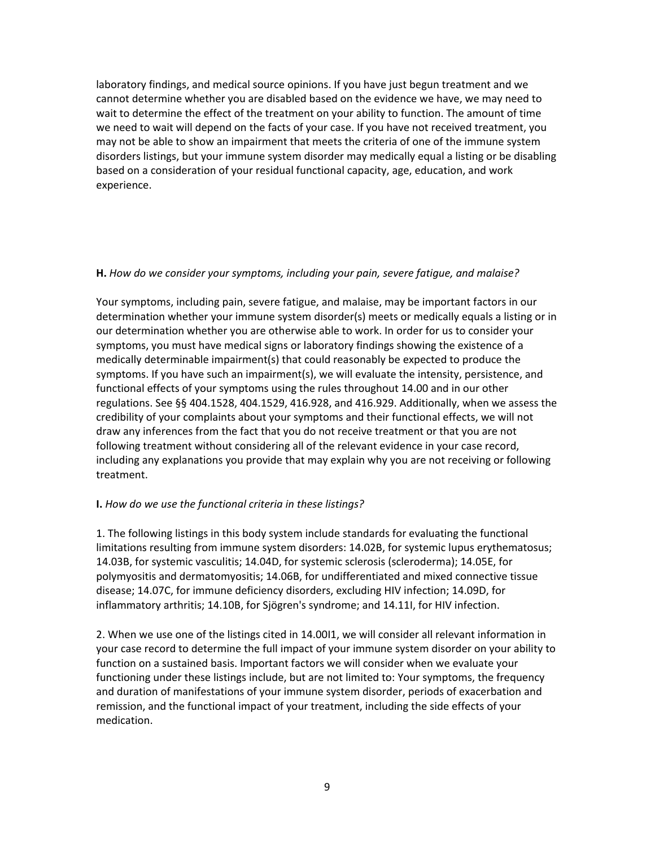laboratory findings, and medical source opinions. If you have just begun treatment and we cannot determine whether you are disabled based on the evidence we have, we may need to wait to determine the effect of the treatment on your ability to function. The amount of time we need to wait will depend on the facts of your case. If you have not received treatment, you may not be able to show an impairment that meets the criteria of one of the immune system disorders listings, but your immune system disorder may medically equal a listing or be disabling based on a consideration of your residual functional capacity, age, education, and work experience.

## **H.** *How do we consider your symptoms, including your pain, severe fatigue, and malaise?*

Your symptoms, including pain, severe fatigue, and malaise, may be important factors in our determination whether your immune system disorder(s) meets or medically equals a listing or in our determination whether you are otherwise able to work. In order for us to consider your symptoms, you must have medical signs or laboratory findings showing the existence of a medically determinable impairment(s) that could reasonably be expected to produce the symptoms. If you have such an impairment(s), we will evaluate the intensity, persistence, and functional effects of your symptoms using the rules throughout 14.00 and in our other regulations. See §§ 404.1528, 404.1529, 416.928, and 416.929. Additionally, when we assess the credibility of your complaints about your symptoms and their functional effects, we will not draw any inferences from the fact that you do not receive treatment or that you are not following treatment without considering all of the relevant evidence in your case record, including any explanations you provide that may explain why you are not receiving or following treatment.

## **I.** *How do we use the functional criteria in these listings?*

1. The following listings in this body system include standards for evaluating the functional limitations resulting from immune system disorders: 14.02B, for systemic lupus erythematosus; 14.03B, for systemic vasculitis; 14.04D, for systemic sclerosis (scleroderma); 14.05E, for polymyositis and dermatomyositis; 14.06B, for undifferentiated and mixed connective tissue disease; 14.07C, for immune deficiency disorders, excluding HIV infection; 14.09D, for inflammatory arthritis; 14.10B, for Sjögren's syndrome; and 14.11I, for HIV infection.

2. When we use one of the listings cited in 14.00I1, we will consider all relevant information in your case record to determine the full impact of your immune system disorder on your ability to function on a sustained basis. Important factors we will consider when we evaluate your functioning under these listings include, but are not limited to: Your symptoms, the frequency and duration of manifestations of your immune system disorder, periods of exacerbation and remission, and the functional impact of your treatment, including the side effects of your medication.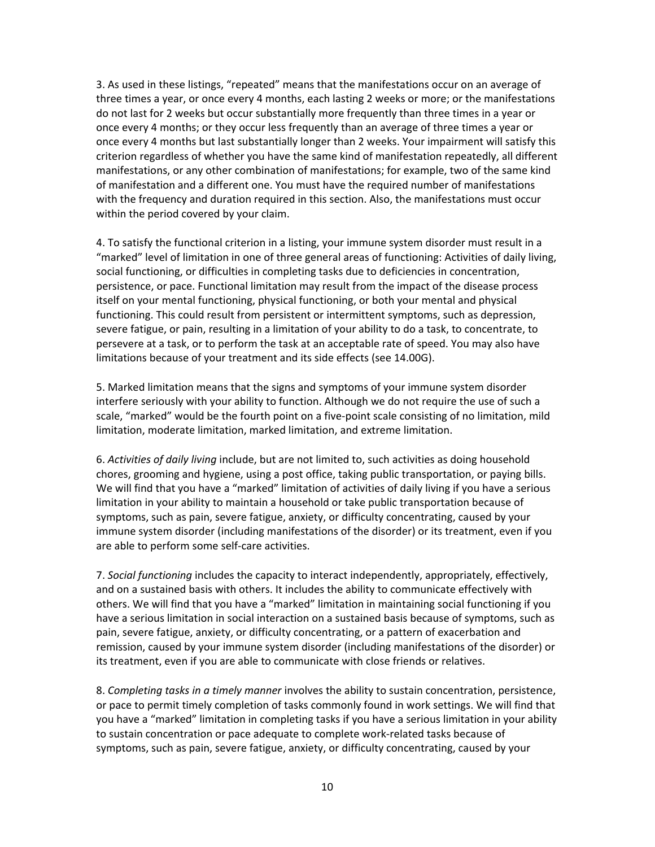3. As used in these listings, "repeated" means that the manifestations occur on an average of three times a year, or once every 4 months, each lasting 2 weeks or more; or the manifestations do not last for 2 weeks but occur substantially more frequently than three times in a year or once every 4 months; or they occur less frequently than an average of three times a year or once every 4 months but last substantially longer than 2 weeks. Your impairment will satisfy this criterion regardless of whether you have the same kind of manifestation repeatedly, all different manifestations, or any other combination of manifestations; for example, two of the same kind of manifestation and a different one. You must have the required number of manifestations with the frequency and duration required in this section. Also, the manifestations must occur within the period covered by your claim.

4. To satisfy the functional criterion in a listing, your immune system disorder must result in a "marked" level of limitation in one of three general areas of functioning: Activities of daily living, social functioning, or difficulties in completing tasks due to deficiencies in concentration, persistence, or pace. Functional limitation may result from the impact of the disease process itself on your mental functioning, physical functioning, or both your mental and physical functioning. This could result from persistent or intermittent symptoms, such as depression, severe fatigue, or pain, resulting in a limitation of your ability to do a task, to concentrate, to persevere at a task, or to perform the task at an acceptable rate of speed. You may also have limitations because of your treatment and its side effects (see 14.00G).

5. Marked limitation means that the signs and symptoms of your immune system disorder interfere seriously with your ability to function. Although we do not require the use of such a scale, "marked" would be the fourth point on a five-point scale consisting of no limitation, mild limitation, moderate limitation, marked limitation, and extreme limitation.

6. *Activities of daily living* include, but are not limited to, such activities as doing household chores, grooming and hygiene, using a post office, taking public transportation, or paying bills. We will find that you have a "marked" limitation of activities of daily living if you have a serious limitation in your ability to maintain a household or take public transportation because of symptoms, such as pain, severe fatigue, anxiety, or difficulty concentrating, caused by your immune system disorder (including manifestations of the disorder) or its treatment, even if you are able to perform some self-care activities.

7. *Social functioning* includes the capacity to interact independently, appropriately, effectively, and on a sustained basis with others. It includes the ability to communicate effectively with others. We will find that you have a "marked" limitation in maintaining social functioning if you have a serious limitation in social interaction on a sustained basis because of symptoms, such as pain, severe fatigue, anxiety, or difficulty concentrating, or a pattern of exacerbation and remission, caused by your immune system disorder (including manifestations of the disorder) or its treatment, even if you are able to communicate with close friends or relatives.

8. *Completing tasks in a timely manner* involves the ability to sustain concentration, persistence, or pace to permit timely completion of tasks commonly found in work settings. We will find that you have a "marked" limitation in completing tasks if you have a serious limitation in your ability to sustain concentration or pace adequate to complete work-related tasks because of symptoms, such as pain, severe fatigue, anxiety, or difficulty concentrating, caused by your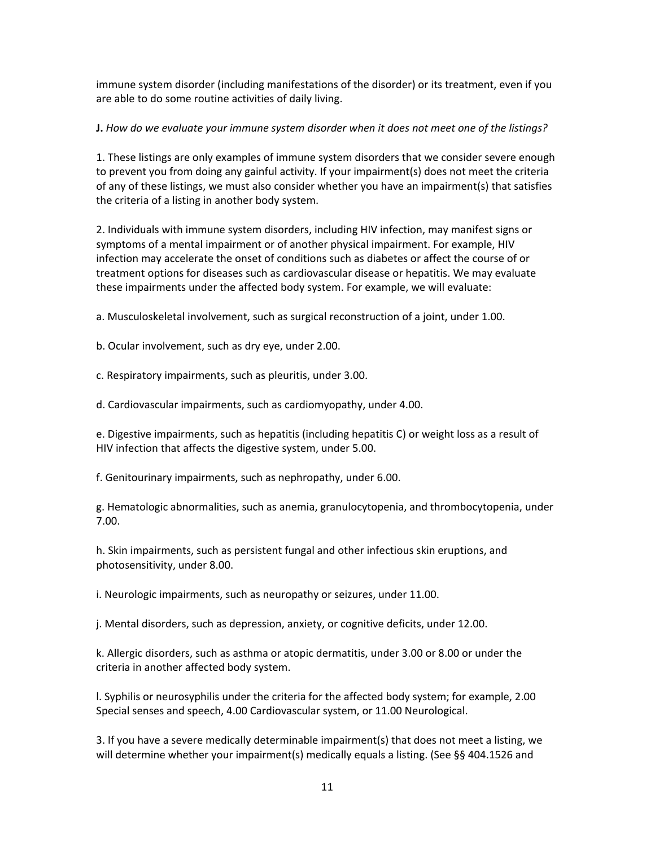immune system disorder (including manifestations of the disorder) or its treatment, even if you are able to do some routine activities of daily living.

## **J.** *How do we evaluate your immune system disorder when it does not meet one of the listings?*

1. These listings are only examples of immune system disorders that we consider severe enough to prevent you from doing any gainful activity. If your impairment(s) does not meet the criteria of any of these listings, we must also consider whether you have an impairment(s) that satisfies the criteria of a listing in another body system.

2. Individuals with immune system disorders, including HIV infection, may manifest signs or symptoms of a mental impairment or of another physical impairment. For example, HIV infection may accelerate the onset of conditions such as diabetes or affect the course of or treatment options for diseases such as cardiovascular disease or hepatitis. We may evaluate these impairments under the affected body system. For example, we will evaluate:

a. Musculoskeletal involvement, such as surgical reconstruction of a joint, under 1.00.

b. Ocular involvement, such as dry eye, under 2.00.

c. Respiratory impairments, such as pleuritis, under 3.00.

d. Cardiovascular impairments, such as cardiomyopathy, under 4.00.

e. Digestive impairments, such as hepatitis (including hepatitis C) or weight loss as a result of HIV infection that affects the digestive system, under 5.00.

f. Genitourinary impairments, such as nephropathy, under 6.00.

g. Hematologic abnormalities, such as anemia, granulocytopenia, and thrombocytopenia, under 7.00.

h. Skin impairments, such as persistent fungal and other infectious skin eruptions, and photosensitivity, under 8.00.

i. Neurologic impairments, such as neuropathy or seizures, under 11.00.

j. Mental disorders, such as depression, anxiety, or cognitive deficits, under 12.00.

k. Allergic disorders, such as asthma or atopic dermatitis, under 3.00 or 8.00 or under the criteria in another affected body system.

l. Syphilis or neurosyphilis under the criteria for the affected body system; for example, 2.00 Special senses and speech, 4.00 Cardiovascular system, or 11.00 Neurological.

3. If you have a severe medically determinable impairment(s) that does not meet a listing, we will determine whether your impairment(s) medically equals a listing. (See §§ 404.1526 and